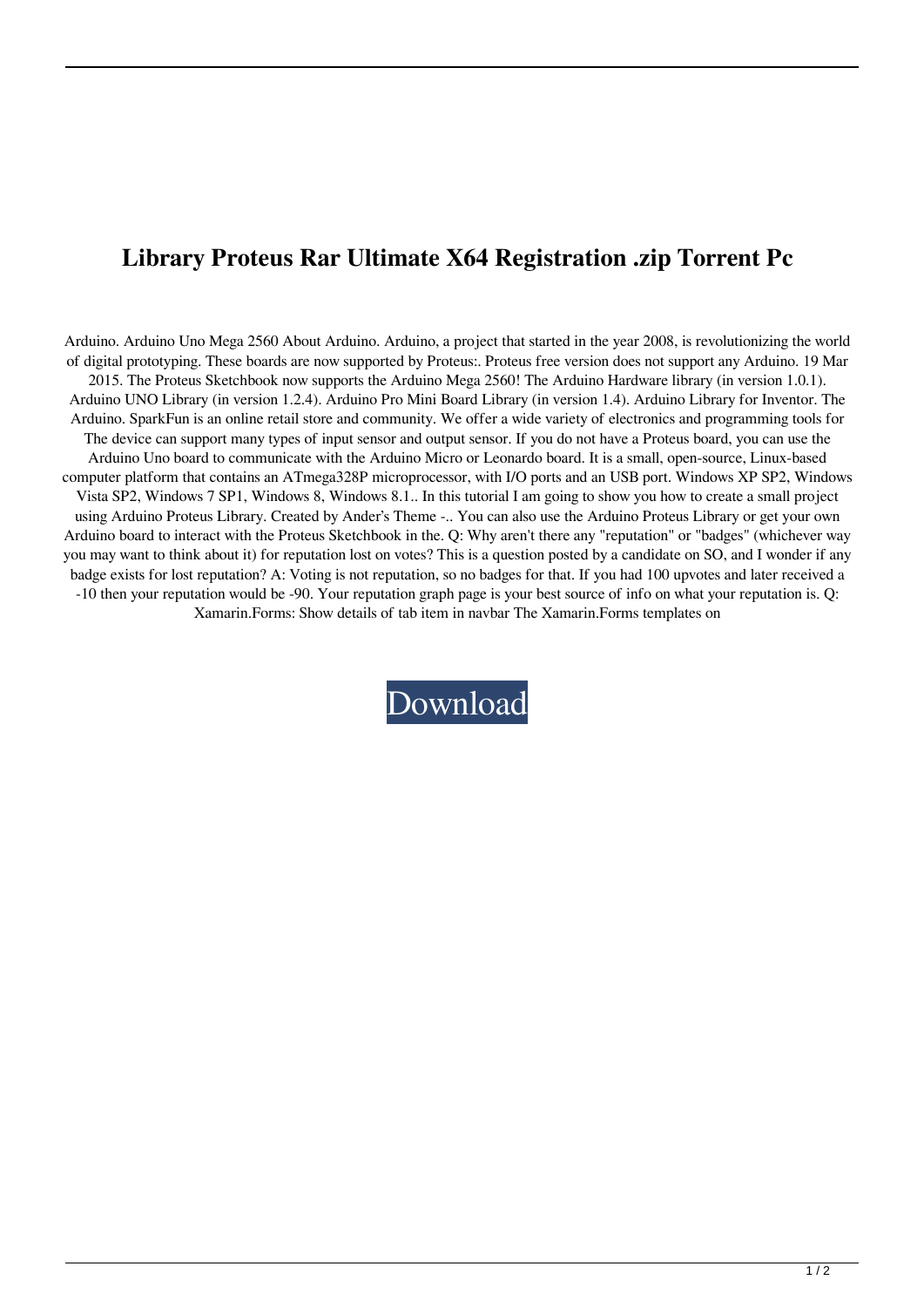## **Library Proteus Rar Ultimate X64 Registration .zip Torrent Pc**

Arduino. Arduino Uno Mega 2560 About Arduino. Arduino, a project that started in the year 2008, is revolutionizing the world of digital prototyping. These boards are now supported by Proteus:. Proteus free version does not support any Arduino. 19 Mar 2015. The Proteus Sketchbook now supports the Arduino Mega 2560! The Arduino Hardware library (in version 1.0.1). Arduino UNO Library (in version 1.2.4). Arduino Pro Mini Board Library (in version 1.4). Arduino Library for Inventor. The Arduino. SparkFun is an online retail store and community. We offer a wide variety of electronics and programming tools for The device can support many types of input sensor and output sensor. If you do not have a Proteus board, you can use the Arduino Uno board to communicate with the Arduino Micro or Leonardo board. It is a small, open-source, Linux-based computer platform that contains an ATmega328P microprocessor, with I/O ports and an USB port. Windows XP SP2, Windows Vista SP2, Windows 7 SP1, Windows 8, Windows 8.1.. In this tutorial I am going to show you how to create a small project using Arduino Proteus Library. Created by Ander's Theme -.. You can also use the Arduino Proteus Library or get your own Arduino board to interact with the Proteus Sketchbook in the. Q: Why aren't there any "reputation" or "badges" (whichever way you may want to think about it) for reputation lost on votes? This is a question posted by a candidate on SO, and I wonder if any badge exists for lost reputation? A: Voting is not reputation, so no badges for that. If you had 100 upvotes and later received a -10 then your reputation would be -90. Your reputation graph page is your best source of info on what your reputation is. Q: Xamarin.Forms: Show details of tab item in navbar The Xamarin.Forms templates on